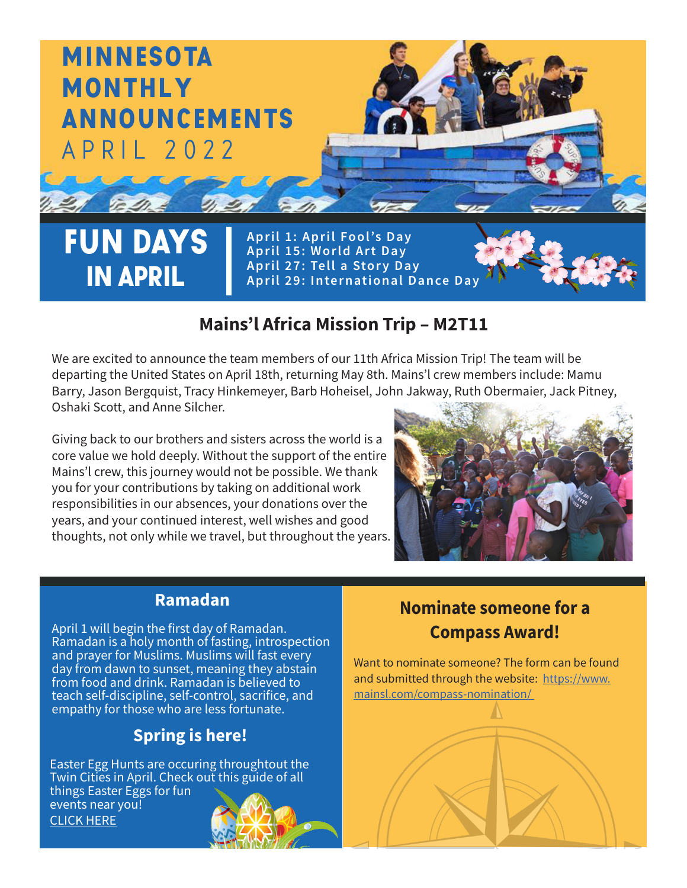

#### **Mains'l Africa Mission Trip – M2T11**

We are excited to announce the team members of our 11th Africa Mission Trip! The team will be departing the United States on April 18th, returning May 8th. Mains'l crew members include: Mamu Barry, Jason Bergquist, Tracy Hinkemeyer, Barb Hoheisel, John Jakway, Ruth Obermaier, Jack Pitney, Oshaki Scott, and Anne Silcher.

 $\frac{1}{\sqrt{1-\frac{1}{2}}\sqrt{1-\frac{1}{2}}\sqrt{1-\frac{1}{2}}\sqrt{1-\frac{1}{2}}\sqrt{1-\frac{1}{2}}\sqrt{1-\frac{1}{2}}\sqrt{1-\frac{1}{2}}\sqrt{1-\frac{1}{2}}\sqrt{1-\frac{1}{2}}\sqrt{1-\frac{1}{2}}\sqrt{1-\frac{1}{2}}\sqrt{1-\frac{1}{2}}\sqrt{1-\frac{1}{2}}\sqrt{1-\frac{1}{2}}\sqrt{1-\frac{1}{2}}\sqrt{1-\frac{1}{2}}\sqrt{1-\frac{1}{2}}\sqrt{1-\frac{1}{2}}\sqrt{1-\frac{1}{2}}\sqrt{1-\frac$ Giving back to our brothers and sisters across the world is a core value we hold deeply. Without the support of the entire Mains'l crew, this journey would not be possible. We thank you for your contributions by taking on additional work responsibilities in our absences, your donations over the years, and your continued interest, well wishes and good thoughts, not only while we travel, but throughout the years.



#### **Ramadan**

April 1 will begin the first day of Ramadan. Ramadan is a holy month of fasting, introspection and prayer for Muslims. Muslims will fast every day from dawn to sunset, meaning they abstain from food and drink. Ramadan is believed to teach self-discipline, self-control, sacrifice, and empathy for those who are less fortunate.

#### **Spring is here!**

Easter Egg Hunts are occuring throughtout the Twin Cities in April. Check out this guide of all things Easter Eggs for fun events near you! CLICK HERE

# **Nominate someone for a Compass Award!**

Want to nominate someone? The form can be found and submitted through the website: [https://www.](https://www.mainsl.com/compass-nomination/) [mainsl.com/compass-nomination/](https://www.mainsl.com/compass-nomination/)